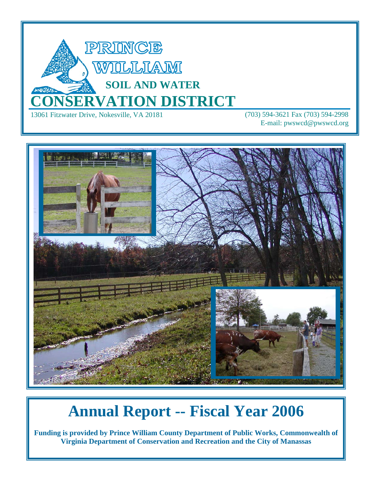

E-mail: pwswcd@pwswcd.org



# **Annual Report -- Fiscal Year 2006**

**Funding is provided by Prince William County Department of Public Works, Commonwealth of Virginia Department of Conservation and Recreation and the City of Manassas**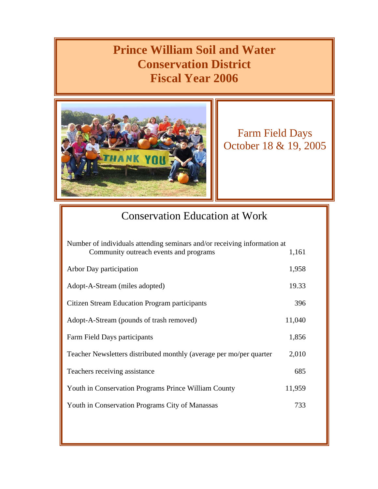### **Prince William Soil and Water Conservation District Fiscal Year 2006**



Farm Field Days October 18 & 19, 2005

### Conservation Education at Work

| Number of individuals attending seminars and/or receiving information at |        |
|--------------------------------------------------------------------------|--------|
| Community outreach events and programs                                   | 1,161  |
| Arbor Day participation                                                  | 1,958  |
| Adopt-A-Stream (miles adopted)                                           | 19.33  |
| Citizen Stream Education Program participants                            | 396    |
| Adopt-A-Stream (pounds of trash removed)                                 | 11,040 |
| Farm Field Days participants                                             | 1,856  |
| Teacher Newsletters distributed monthly (average per mo/per quarter      | 2,010  |
| Teachers receiving assistance                                            | 685    |
| Youth in Conservation Programs Prince William County                     | 11,959 |
| Youth in Conservation Programs City of Manassas                          | 733    |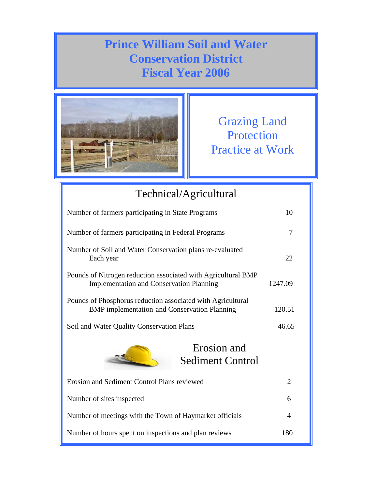### **Prince William Soil and Water Conservation District Fiscal Year 2006**



Grazing Land Protection Practice at Work

## Technical/Agricultural Number of farmers participating in State Programs 10 Number of farmers participating in Federal Programs 7 Number of Soil and Water Conservation plans re-evaluated Each year 22 Pounds of Nitrogen reduction associated with Agricultural BMP Implementation and Conservation Planning 1247.09 Pounds of Phosphorus reduction associated with Agricultural BMP implementation and Conservation Planning 120.51 Soil and Water Quality Conservation Plans 46.65 Erosion and Sediment Control Plans reviewed 2 Number of sites inspected 6 Number of meetings with the Town of Haymarket officials 4 Number of hours spent on inspections and plan reviews 180 Erosion and Sediment Control